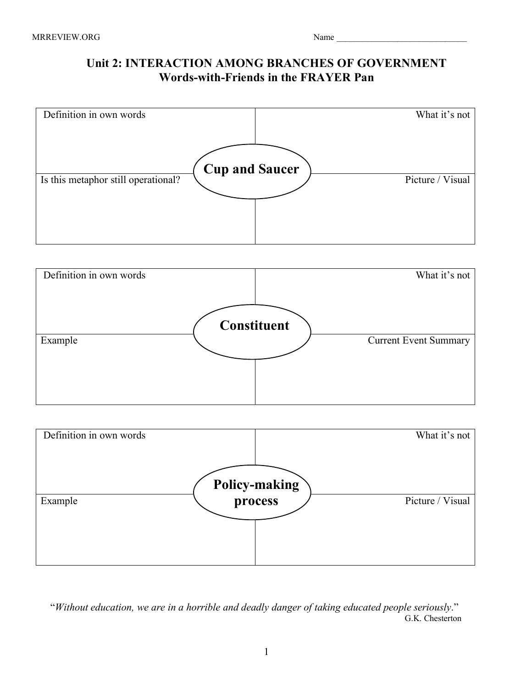## **Unit 2: INTERACTION AMONG BRANCHES OF GOVERNMENT Words-with-Friends in the FRAYER Pan**







 "*Without education, we are in a horrible and deadly danger of taking educated people seriously*." G.K. Chesterton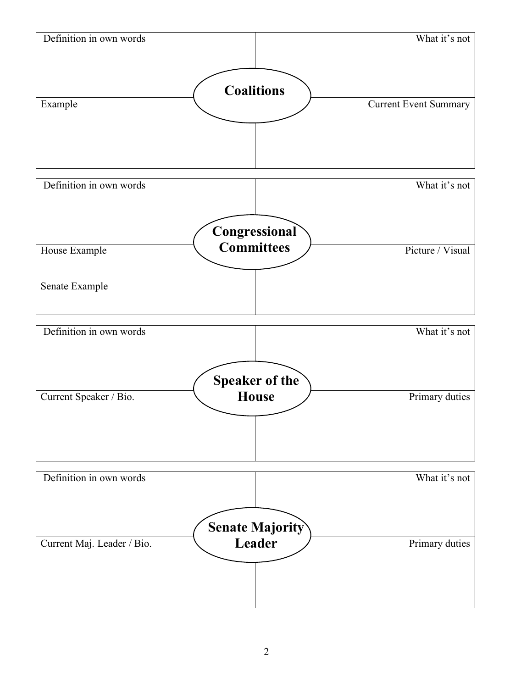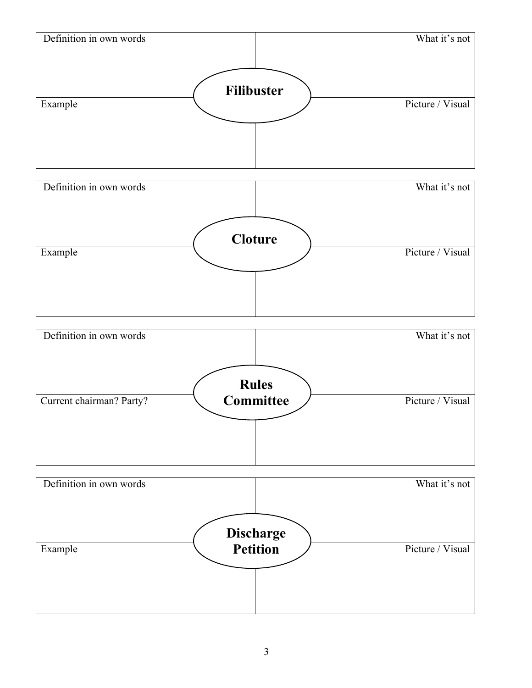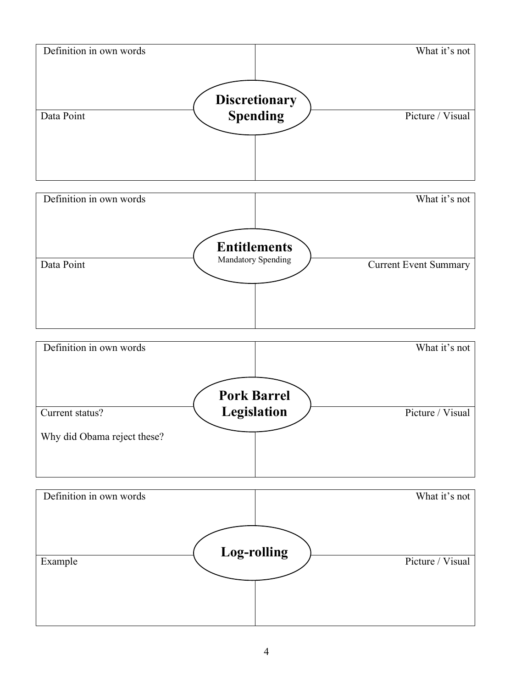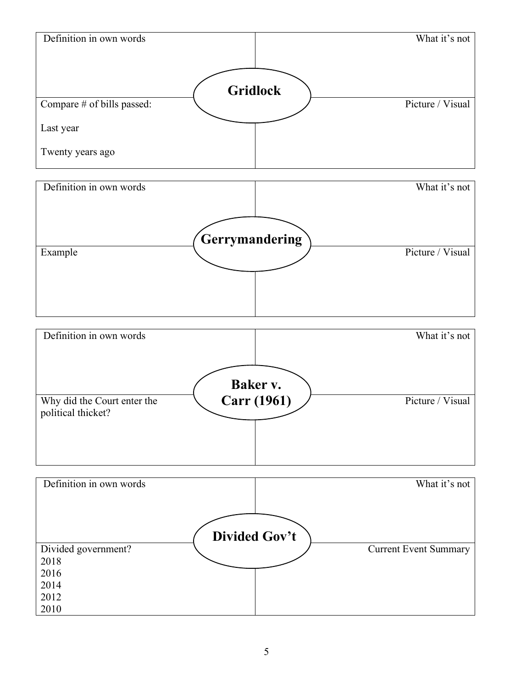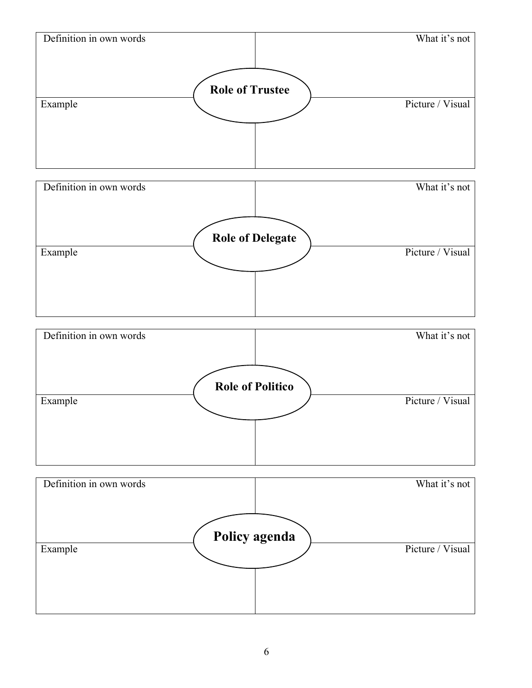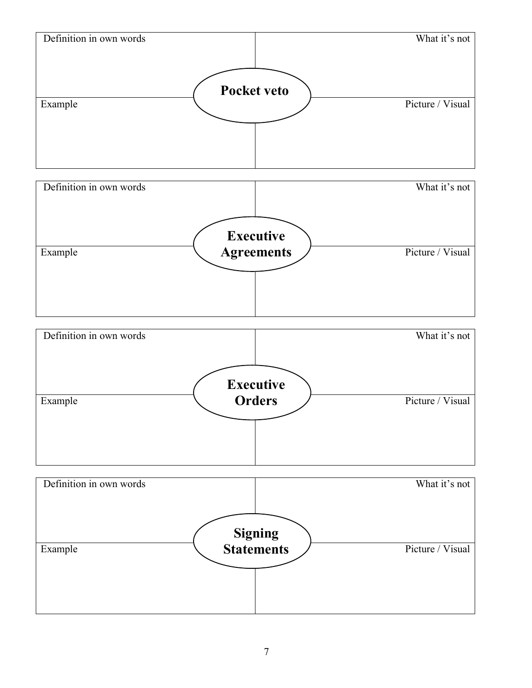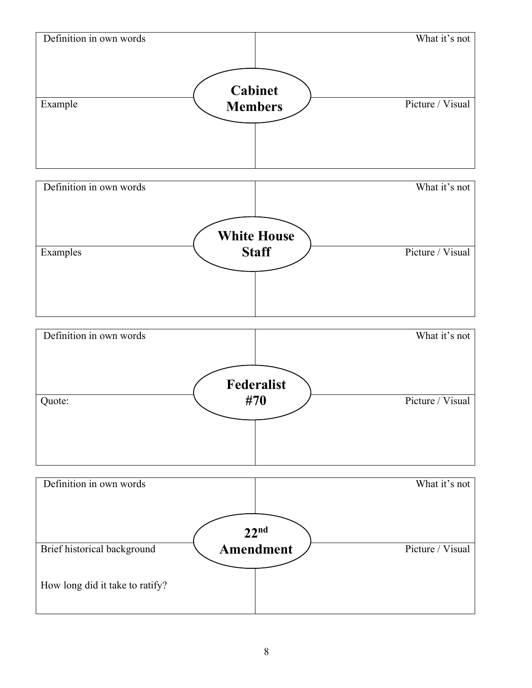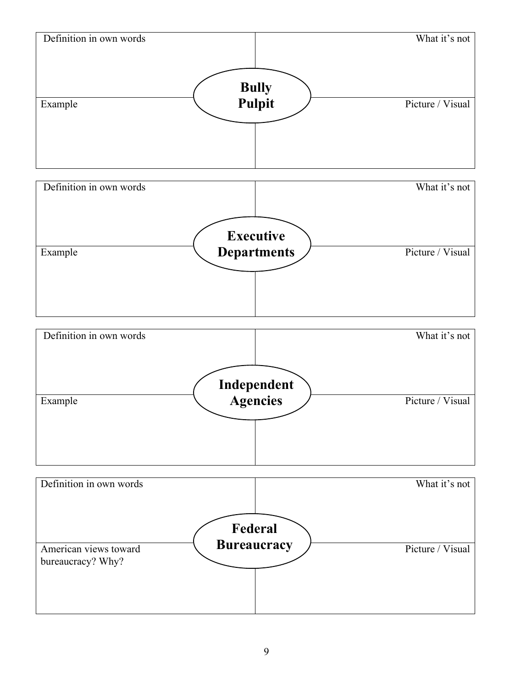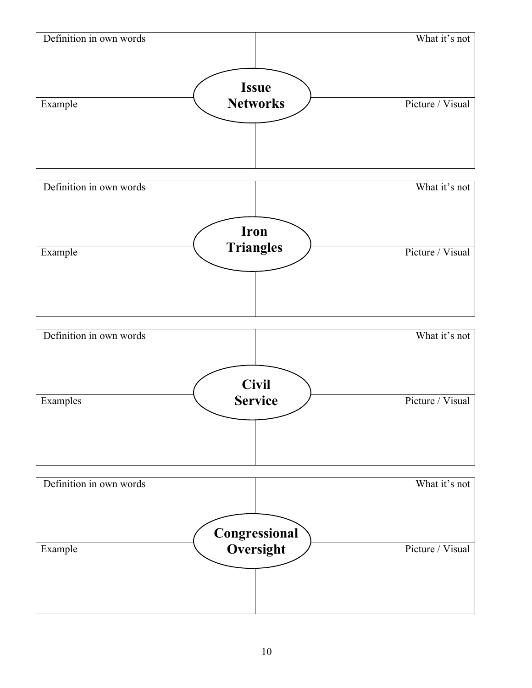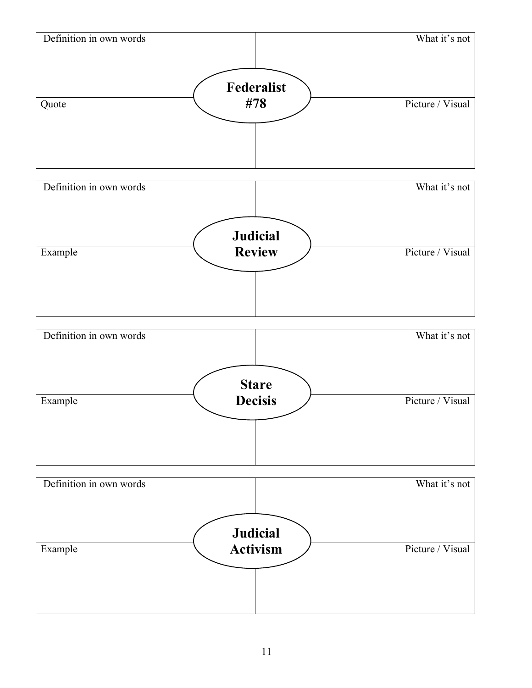